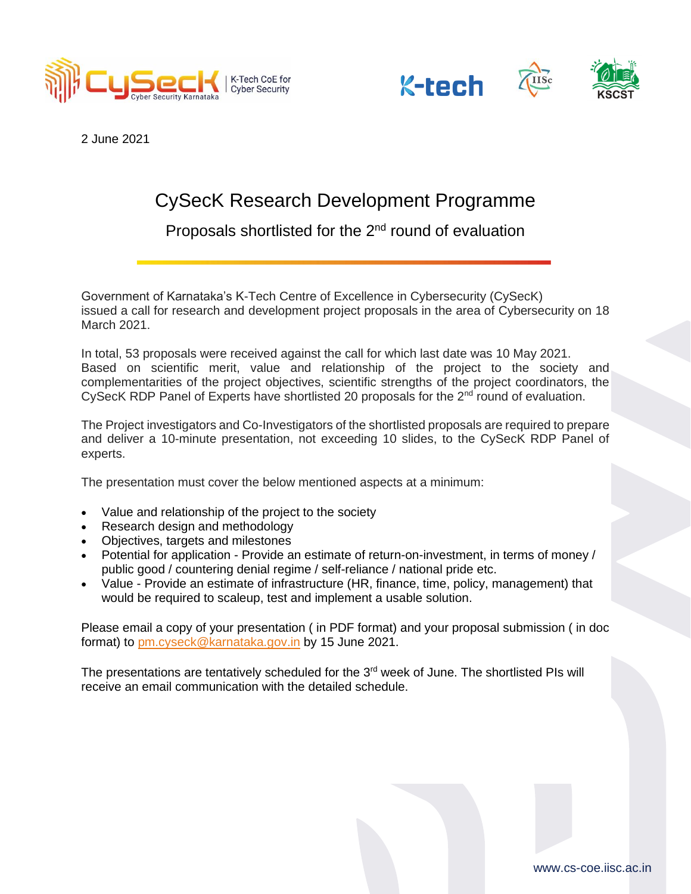





2 June 2021

## CySecK Research Development Programme

Proposals shortlisted for the 2<sup>nd</sup> round of evaluation

Government of Karnataka's K-Tech Centre of Excellence in Cybersecurity (CySecK) issued a call for research and development project proposals in the area of Cybersecurity on 18 March 2021.

In total, 53 proposals were received against the call for which last date was 10 May 2021. Based on scientific merit, value and relationship of the project to the society and complementarities of the project objectives, scientific strengths of the project coordinators, the CySecK RDP Panel of Experts have shortlisted 20 proposals for the 2<sup>nd</sup> round of evaluation.

The Project investigators and Co-Investigators of the shortlisted proposals are required to prepare and deliver a 10-minute presentation, not exceeding 10 slides, to the CySecK RDP Panel of experts.

The presentation must cover the below mentioned aspects at a minimum:

- Value and relationship of the project to the society
- Research design and methodology
- Objectives, targets and milestones
- Potential for application Provide an estimate of return-on-investment, in terms of money / public good / countering denial regime / self-reliance / national pride etc.
- Value Provide an estimate of infrastructure (HR, finance, time, policy, management) that would be required to scaleup, test and implement a usable solution.

Please email a copy of your presentation ( in PDF format) and your proposal submission ( in doc format) to [pm.cyseck@karnataka.gov.in](mailto:pm.cyseck@karnataka.gov.in) by 15 June 2021.

The presentations are tentatively scheduled for the  $3<sup>rd</sup>$  week of June. The shortlisted PIs will receive an email communication with the detailed schedule.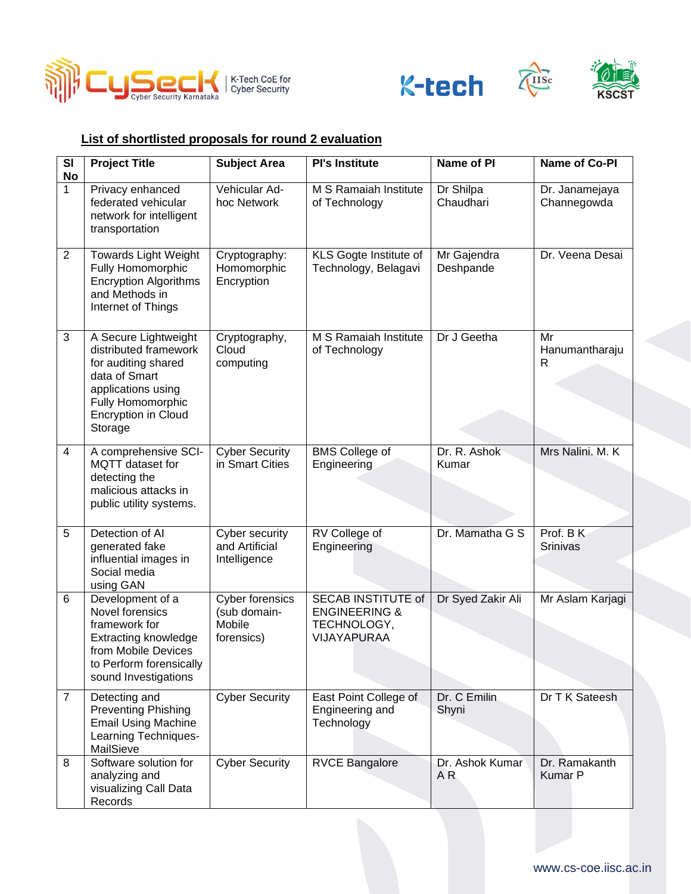





USc

## **List of shortlisted proposals for round 2 evaluation**

| SI<br><b>No</b> | <b>Project Title</b>                                                                                                                                                      | <b>Subject Area</b>                                            | <b>PI's Institute</b>                                                        | Name of PI               | Name of Co-PI                   |
|-----------------|---------------------------------------------------------------------------------------------------------------------------------------------------------------------------|----------------------------------------------------------------|------------------------------------------------------------------------------|--------------------------|---------------------------------|
| $\mathbf 1$     | Privacy enhanced<br>federated vehicular<br>network for intelligent<br>transportation                                                                                      | Vehicular Ad-<br>hoc Network                                   | M S Ramaiah Institute<br>of Technology                                       | Dr Shilpa<br>Chaudhari   | Dr. Janamejaya<br>Channegowda   |
| $\overline{2}$  | <b>Towards Light Weight</b><br>Fully Homomorphic<br><b>Encryption Algorithms</b><br>and Methods in<br>Internet of Things                                                  | Cryptography:<br>Homomorphic<br>Encryption                     | KLS Gogte Institute of<br>Technology, Belagavi                               | Mr Gajendra<br>Deshpande | Dr. Veena Desai                 |
| 3               | A Secure Lightweight<br>distributed framework<br>for auditing shared<br>data of Smart<br>applications using<br>Fully Homomorphic<br><b>Encryption in Cloud</b><br>Storage | Cryptography,<br>Cloud<br>computing                            | M S Ramaiah Institute<br>of Technology                                       | Dr J Geetha              | Mr<br>Hanumantharaju<br>R       |
| 4               | A comprehensive SCI-<br>MQTT dataset for<br>detecting the<br>malicious attacks in<br>public utility systems.                                                              | <b>Cyber Security</b><br>in Smart Cities                       | <b>BMS</b> College of<br>Engineering                                         | Dr. R. Ashok<br>Kumar    | Mrs Nalini, M. K.               |
| 5               | Detection of AI<br>generated fake<br>influential images in<br>Social media<br>using GAN                                                                                   | Cyber security<br>and Artificial<br>Intelligence               | RV College of<br>Engineering                                                 | Dr. Mamatha G S          | Prof. B K<br><b>Srinivas</b>    |
| 6               | Development of a<br>Novel forensics<br>framework for<br><b>Extracting knowledge</b><br>from Mobile Devices<br>to Perform forensically<br>sound Investigations             | <b>Cyber forensics</b><br>(sub domain-<br>Mobile<br>forensics) | SECAB INSTITUTE of<br><b>ENGINEERING &amp;</b><br>TECHNOLOGY,<br>VIJAYAPURAA | Dr Syed Zakir Ali        | Mr Aslam Karjagi                |
| $\overline{7}$  | Detecting and<br><b>Preventing Phishing</b><br><b>Email Using Machine</b><br>Learning Techniques-<br>MailSieve                                                            | <b>Cyber Security</b>                                          | East Point College of<br>Engineering and<br>Technology                       | Dr. C Emilin<br>Shyni    | Dr T K Sateesh                  |
| 8               | Software solution for<br>analyzing and<br>visualizing Call Data<br>Records                                                                                                | <b>Cyber Security</b>                                          | <b>RVCE Bangalore</b>                                                        | Dr. Ashok Kumar<br>AR    | Dr. Ramakanth<br><b>Kumar P</b> |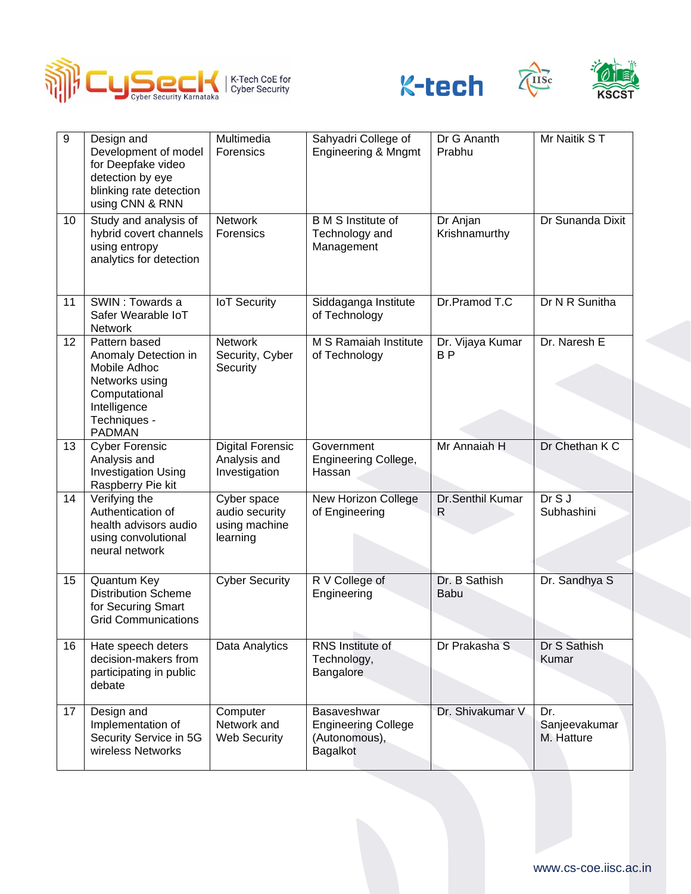





Tuse

| 9               | Design and<br>Development of model<br>for Deepfake video<br>detection by eye<br>blinking rate detection<br>using CNN & RNN                | Multimedia<br>Forensics                                    | Sahyadri College of<br><b>Engineering &amp; Mngmt</b>                  | Dr G Ananth<br>Prabhu              | Mr Naitik ST                       |
|-----------------|-------------------------------------------------------------------------------------------------------------------------------------------|------------------------------------------------------------|------------------------------------------------------------------------|------------------------------------|------------------------------------|
| 10 <sup>1</sup> | Study and analysis of<br>hybrid covert channels<br>using entropy<br>analytics for detection                                               | <b>Network</b><br>Forensics                                | <b>B</b> M S Institute of<br>Technology and<br>Management              | Dr Anjan<br>Krishnamurthy          | Dr Sunanda Dixit                   |
| 11              | SWIN: Towards a<br>Safer Wearable IoT<br><b>Network</b>                                                                                   | <b>IoT Security</b>                                        | Siddaganga Institute<br>of Technology                                  | Dr.Pramod T.C                      | Dr N R Sunitha                     |
| 12              | Pattern based<br>Anomaly Detection in<br>Mobile Adhoc<br>Networks using<br>Computational<br>Intelligence<br>Techniques -<br><b>PADMAN</b> | <b>Network</b><br>Security, Cyber<br><b>Security</b>       | M S Ramaiah Institute<br>of Technology                                 | Dr. Vijaya Kumar<br>B <sub>P</sub> | Dr. Naresh E                       |
| 13              | <b>Cyber Forensic</b><br>Analysis and<br><b>Investigation Using</b><br>Raspberry Pie kit                                                  | <b>Digital Forensic</b><br>Analysis and<br>Investigation   | Government<br>Engineering College,<br>Hassan                           | Mr Annaiah H                       | Dr Chethan K C                     |
| 14              | Verifying the<br>Authentication of<br>health advisors audio<br>using convolutional<br>neural network                                      | Cyber space<br>audio security<br>using machine<br>learning | New Horizon College<br>of Engineering                                  | Dr.Senthil Kumar<br>R              | DrSJ<br>Subhashini                 |
| 15              | Quantum Key<br><b>Distribution Scheme</b><br>for Securing Smart<br><b>Grid Communications</b>                                             | <b>Cyber Security</b>                                      | R V College of<br>Engineering                                          | Dr. B Sathish<br><b>Babu</b>       | Dr. Sandhya S                      |
| 16              | Hate speech deters<br>decision-makers from<br>participating in public<br>debate                                                           | Data Analytics                                             | RNS Institute of<br>Technology,<br>Bangalore                           | Dr Prakasha S                      | Dr S Sathish<br>Kumar              |
| 17              | Design and<br>Implementation of<br>Security Service in 5G<br>wireless Networks                                                            | Computer<br>Network and<br><b>Web Security</b>             | Basaveshwar<br><b>Engineering College</b><br>(Autonomous),<br>Bagalkot | Dr. Shivakumar V                   | Dr.<br>Sanjeevakumar<br>M. Hatture |